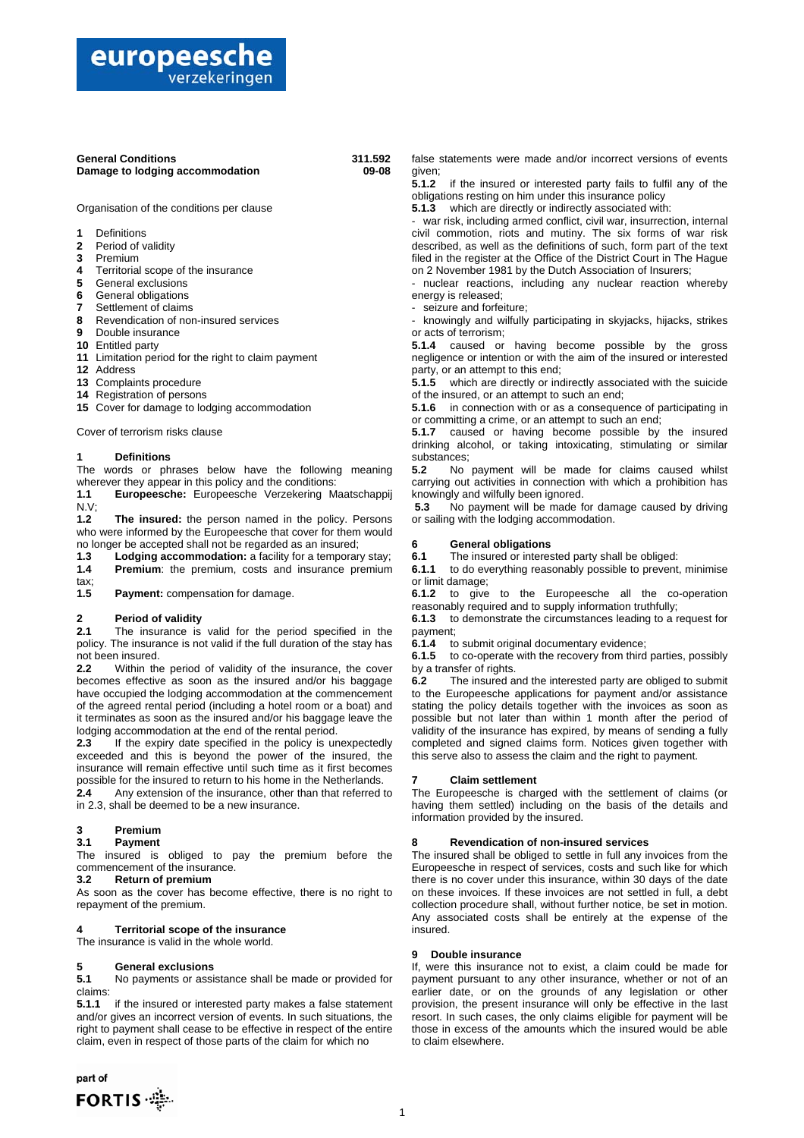## europeesche verzekeringen

### **General Conditions 311.592 Damage to lodging accommodation**

I

Organisation of the conditions per clause

- **1** Definitions
- **2** Period of validity
- **3** Premium
- **4** Territorial scope of the insurance
- **5** General exclusions
- **6** General obligations
- **7** Settlement of claims
- **8** Revendication of non-insured services
- **9** Double insurance
- **10** Entitled party
- **11** Limitation period for the right to claim payment
- **12** Address
- **13** Complaints procedure
- **14** Registration of persons
- **15** Cover for damage to lodging accommodation

Cover of terrorism risks clause

#### **1 Definitions**

The words or phrases below have the following meaning wherever they appear in this policy and the conditions:

**1.1 Europeesche:** Europeesche Verzekering Maatschappij  $N.V;$ <br>1.2

The insured: the person named in the policy. Persons who were informed by the Europeesche that cover for them would no longer be accepted shall not be regarded as an insured;

**1.3** Lodging accommodation: a facility for a temporary stay;<br>**1.4** Premium: the premium, costs and insurance premium Premium: the premium, costs and insurance premium tax;

**1.5 Payment:** compensation for damage.

### **2 Period of validity**

**2.1** The insurance is valid for the period specified in the policy. The insurance is not valid if the full duration of the stay has not been insured.

**2.2** Within the period of validity of the insurance, the cover becomes effective as soon as the insured and/or his baggage have occupied the lodging accommodation at the commencement of the agreed rental period (including a hotel room or a boat) and it terminates as soon as the insured and/or his baggage leave the lodging accommodation at the end of the rental period.

**2.3** If the expiry date specified in the policy is unexpectedly exceeded and this is beyond the power of the insured, the insurance will remain effective until such time as it first becomes possible for the insured to return to his home in the Netherlands.

**2.4** Any extension of the insurance, other than that referred to in 2.3, shall be deemed to be a new insurance.

## **3 Premium**

#### **3.1 Payment**

The insured is obliged to pay the premium before the commencement of the insurance.

## **3.2 Return of premium**

As soon as the cover has become effective, there is no right to repayment of the premium.

## **4 Territorial scope of the insurance**

The insurance is valid in the whole world.

### **5 General exclusions**

**5.1** No payments or assistance shall be made or provided for claims:

**5.1.1** if the insured or interested party makes a false statement and/or gives an incorrect version of events. In such situations, the right to payment shall cease to be effective in respect of the entire claim, even in respect of those parts of the claim for which no

part of FORTIS - false statements were made and/or incorrect versions of events given;

**5.1.2** if the insured or interested party fails to fulfil any of the obligations resting on him under this insurance policy

**5.1.3** which are directly or indirectly associated with:

war risk, including armed conflict, civil war, insurrection, internal civil commotion, riots and mutiny. The six forms of war risk described, as well as the definitions of such, form part of the text filed in the register at the Office of the District Court in The Hague on 2 November 1981 by the Dutch Association of Insurers;

nuclear reactions, including any nuclear reaction whereby energy is released;

- seizure and forfeiture;

- knowingly and wilfully participating in skyjacks, hijacks, strikes or acts of terrorism;

**5.1.4** caused or having become possible by the gross negligence or intention or with the aim of the insured or interested party, or an attempt to this end;

**5.1.5** which are directly or indirectly associated with the suicide of the insured, or an attempt to such an end;

**5.1.6** in connection with or as a consequence of participating in or committing a crime, or an attempt to such an end;

**5.1.7** caused or having become possible by the insured drinking alcohol, or taking intoxicating, stimulating or similar substances;

**5.2** No payment will be made for claims caused whilst carrying out activities in connection with which a prohibition has knowingly and wilfully been ignored.

**5.3** No payment will be made for damage caused by driving or sailing with the lodging accommodation.

#### **6 General obligations**

**6.1** The insured or interested party shall be obliged:<br>**6.1.1** to do everything reasonably possible to prevent,

**6.1.1** to do everything reasonably possible to prevent, minimise or limit damage;

**6.1.2** to give to the Europeesche all the co-operation reasonably required and to supply information truthfully;

**6.1.3** to demonstrate the circumstances leading to a request for payment;

**6.1.4** to submit original documentary evidence;

**6.1.5** to co-operate with the recovery from third parties, possibly by a transfer of rights.

**6.2** The insured and the interested party are obliged to submit to the Europeesche applications for payment and/or assistance stating the policy details together with the invoices as soon as possible but not later than within 1 month after the period of validity of the insurance has expired, by means of sending a fully completed and signed claims form. Notices given together with this serve also to assess the claim and the right to payment.

#### **7 Claim settlement**

The Europeesche is charged with the settlement of claims (or having them settled) including on the basis of the details and information provided by the insured.

## **8 Revendication of non-insured services**

The insured shall be obliged to settle in full any invoices from the Europeesche in respect of services, costs and such like for which there is no cover under this insurance, within 30 days of the date on these invoices. If these invoices are not settled in full, a debt collection procedure shall, without further notice, be set in motion. Any associated costs shall be entirely at the expense of the insured.

#### **9 Double insurance**

If, were this insurance not to exist, a claim could be made for payment pursuant to any other insurance, whether or not of an earlier date, or on the grounds of any legislation or other provision, the present insurance will only be effective in the last resort. In such cases, the only claims eligible for payment will be those in excess of the amounts which the insured would be able to claim elsewhere.